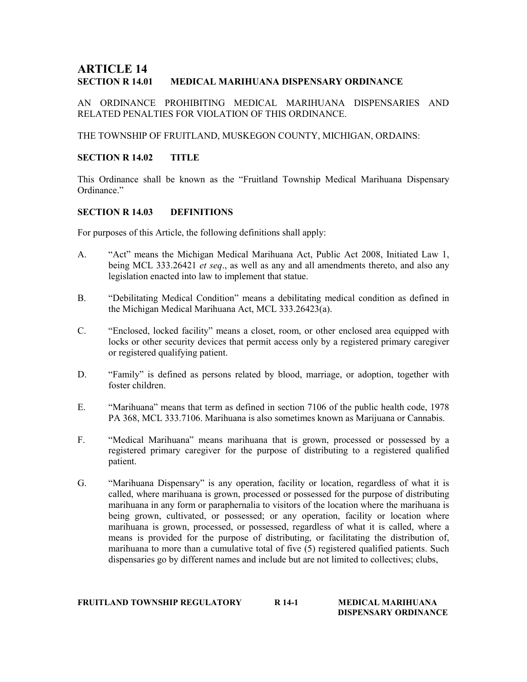# **ARTICLE 14<br>section R 14.01** MEDICAL MARIHUANA DISPENSARY ORDINANCE

AN ORDINANCE PROHIBITING MEDICAL MARIHUANA DISPENSARIES AND RELATED PENALTIES FOR VIOLATION OF THIS ORDINANCE.

THE TOWNSHIP OF FRUITLAND, MUSKEGON COUNTY, MICHIGAN, ORDAINS:

#### SECTION R 14.02 TITLE

This Ordinance shall be known as the "Fruitland Township Medical Marihuana Dispensary Ordinance."

#### SECTION R 14.03 DEFINITIONS

For purposes of this Article, the following definitions shall apply:

- A. "Act" means the Michigan Medical Marihuana Act, Public Act 2008, Initiated Law 1, being MCL 333.26421 et seq., as well as any and all amendments thereto, and also any legislation enacted into law to implement that statue.
- B. "Debilitating Medical Condition" means a debilitating medical condition as defined in the Michigan Medical Marihuana Act, MCL 333.26423(a).
- C. "Enclosed, locked facility" means a closet, room, or other enclosed area equipped with locks or other security devices that permit access only by a registered primary caregiver or registered qualifying patient.
- D. "Family" is defined as persons related by blood, marriage, or adoption, together with foster children.
- E. "Marihuana" means that term as defined in section 7106 of the public health code, 1978 PA 368, MCL 333.7106. Marihuana is also sometimes known as Marijuana or Cannabis.
- F. "Medical Marihuana" means marihuana that is grown, processed or possessed by a registered primary caregiver for the purpose of distributing to a registered qualified patient.
- G. "Marihuana Dispensary" is any operation, facility or location, regardless of what it is called, where marihuana is grown, processed or possessed for the purpose of distributing marihuana in any form or paraphernalia to visitors of the location where the marihuana is being grown, cultivated, or possessed; or any operation, facility or location where marihuana is grown, processed, or possessed, regardless of what it is called, where a means is provided for the purpose of distributing, or facilitating the distribution of, marihuana to more than a cumulative total of five (5) registered qualified patients. Such dispensaries go by different names and include but are not limited to collectives; clubs,

| <b>FRUITLAND TOWNSHIP REGULATORY</b> | R 14-1 | MEDICAL MARIHUANA    |
|--------------------------------------|--------|----------------------|
|                                      |        | DISPENSARY ORDINANCE |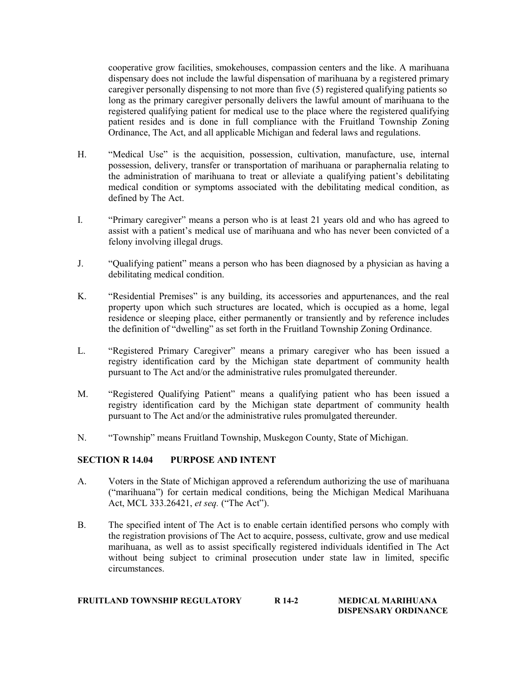cooperative grow facilities, smokehouses, compassion centers and the like. A marihuana dispensary does not include the lawful dispensation of marihuana by a registered primary caregiver personally dispensing to not more than five (5) registered qualifying patients so long as the primary caregiver personally delivers the lawful amount of marihuana to the registered qualifying patient for medical use to the place where the registered qualifying patient resides and is done in full compliance with the Fruitland Township Zoning Ordinance, The Act, and all applicable Michigan and federal laws and regulations.

- H. "Medical Use" is the acquisition, possession, cultivation, manufacture, use, internal possession, delivery, transfer or transportation of marihuana or paraphernalia relating to the administration of marihuana to treat or alleviate a qualifying patient's debilitating medical condition or symptoms associated with the debilitating medical condition, as defined by The Act.
- I. "Primary caregiver" means a person who is at least 21 years old and who has agreed to assist with a patient's medical use of marihuana and who has never been convicted of a felony involving illegal drugs.
- J. "Qualifying patient" means a person who has been diagnosed by a physician as having a debilitating medical condition.
- K. "Residential Premises" is any building, its accessories and appurtenances, and the real property upon which such structures are located, which is occupied as a home, legal residence or sleeping place, either permanently or transiently and by reference includes the definition of "dwelling" as set forth in the Fruitland Township Zoning Ordinance.
- L. "Registered Primary Caregiver" means a primary caregiver who has been issued a registry identification card by the Michigan state department of community health pursuant to The Act and/or the administrative rules promulgated thereunder.
- M. "Registered Qualifying Patient" means a qualifying patient who has been issued a registry identification card by the Michigan state department of community health pursuant to The Act and/or the administrative rules promulgated thereunder.
- N. "Township" means Fruitland Township, Muskegon County, State of Michigan.

#### SECTION R 14.04 PURPOSE AND INTENT

- A. Voters in the State of Michigan approved a referendum authorizing the use of marihuana ("marihuana") for certain medical conditions, being the Michigan Medical Marihuana Act, MCL 333.26421, et seq. ("The Act").
- B. The specified intent of The Act is to enable certain identified persons who comply with the registration provisions of The Act to acquire, possess, cultivate, grow and use medical marihuana, as well as to assist specifically registered individuals identified in The Act without being subject to criminal prosecution under state law in limited, specific circumstances.

#### FRUITLAND TOWNSHIP REGULATORY R 14-2 MEDICAL MARIHUANA DISPENSARY ORDINANCE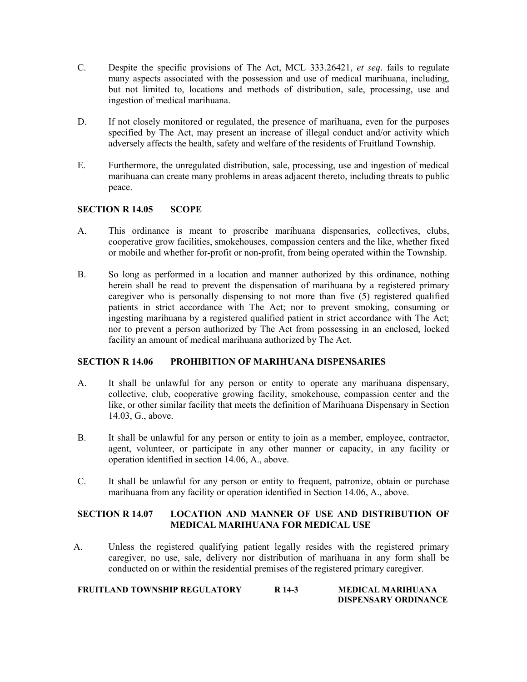- C. Despite the specific provisions of The Act, MCL 333.26421, et seq. fails to regulate many aspects associated with the possession and use of medical marihuana, including, but not limited to, locations and methods of distribution, sale, processing, use and ingestion of medical marihuana.
- D. If not closely monitored or regulated, the presence of marihuana, even for the purposes specified by The Act, may present an increase of illegal conduct and/or activity which adversely affects the health, safety and welfare of the residents of Fruitland Township.
- E. Furthermore, the unregulated distribution, sale, processing, use and ingestion of medical marihuana can create many problems in areas adjacent thereto, including threats to public peace.

## SECTION R 14.05 SCOPE

- A. This ordinance is meant to proscribe marihuana dispensaries, collectives, clubs, cooperative grow facilities, smokehouses, compassion centers and the like, whether fixed or mobile and whether for-profit or non-profit, from being operated within the Township.
- B. So long as performed in a location and manner authorized by this ordinance, nothing herein shall be read to prevent the dispensation of marihuana by a registered primary caregiver who is personally dispensing to not more than five (5) registered qualified patients in strict accordance with The Act; nor to prevent smoking, consuming or ingesting marihuana by a registered qualified patient in strict accordance with The Act; nor to prevent a person authorized by The Act from possessing in an enclosed, locked facility an amount of medical marihuana authorized by The Act.

#### SECTION R 14.06 PROHIBITION OF MARIHUANA DISPENSARIES

- A. It shall be unlawful for any person or entity to operate any marihuana dispensary, collective, club, cooperative growing facility, smokehouse, compassion center and the like, or other similar facility that meets the definition of Marihuana Dispensary in Section 14.03, G., above.
- B. It shall be unlawful for any person or entity to join as a member, employee, contractor, agent, volunteer, or participate in any other manner or capacity, in any facility or operation identified in section 14.06, A., above.
- C. It shall be unlawful for any person or entity to frequent, patronize, obtain or purchase marihuana from any facility or operation identified in Section 14.06, A., above.

## SECTION R 14.07 LOCATION AND MANNER OF USE AND DISTRIBUTION OF MEDICAL MARIHUANA FOR MEDICAL USE

A. Unless the registered qualifying patient legally resides with the registered primary caregiver, no use, sale, delivery nor distribution of marihuana in any form shall be conducted on or within the residential premises of the registered primary caregiver.

| <b>FRUITLAND TOWNSHIP REGULATORY</b> | R 14-3 | <b>MEDICAL MARIHUANA</b>    |
|--------------------------------------|--------|-----------------------------|
|                                      |        | <b>DISPENSARY ORDINANCE</b> |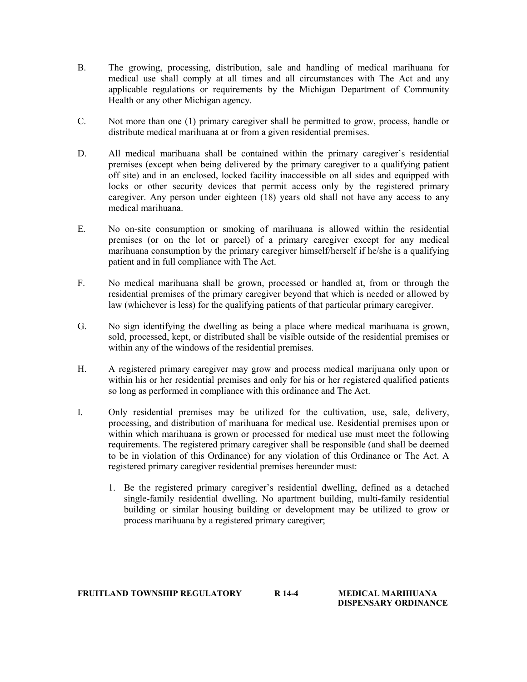- B. The growing, processing, distribution, sale and handling of medical marihuana for medical use shall comply at all times and all circumstances with The Act and any applicable regulations or requirements by the Michigan Department of Community Health or any other Michigan agency.
- C. Not more than one (1) primary caregiver shall be permitted to grow, process, handle or distribute medical marihuana at or from a given residential premises.
- D. All medical marihuana shall be contained within the primary caregiver's residential premises (except when being delivered by the primary caregiver to a qualifying patient off site) and in an enclosed, locked facility inaccessible on all sides and equipped with locks or other security devices that permit access only by the registered primary caregiver. Any person under eighteen (18) years old shall not have any access to any medical marihuana.
- E. No on-site consumption or smoking of marihuana is allowed within the residential premises (or on the lot or parcel) of a primary caregiver except for any medical marihuana consumption by the primary caregiver himself/herself if he/she is a qualifying patient and in full compliance with The Act.
- F. No medical marihuana shall be grown, processed or handled at, from or through the residential premises of the primary caregiver beyond that which is needed or allowed by law (whichever is less) for the qualifying patients of that particular primary caregiver.
- G. No sign identifying the dwelling as being a place where medical marihuana is grown, sold, processed, kept, or distributed shall be visible outside of the residential premises or within any of the windows of the residential premises.
- H. A registered primary caregiver may grow and process medical marijuana only upon or within his or her residential premises and only for his or her registered qualified patients so long as performed in compliance with this ordinance and The Act.
- I. Only residential premises may be utilized for the cultivation, use, sale, delivery, processing, and distribution of marihuana for medical use. Residential premises upon or within which marihuana is grown or processed for medical use must meet the following requirements. The registered primary caregiver shall be responsible (and shall be deemed to be in violation of this Ordinance) for any violation of this Ordinance or The Act. A registered primary caregiver residential premises hereunder must:
	- 1. Be the registered primary caregiver's residential dwelling, defined as a detached single-family residential dwelling. No apartment building, multi-family residential building or similar housing building or development may be utilized to grow or process marihuana by a registered primary caregiver;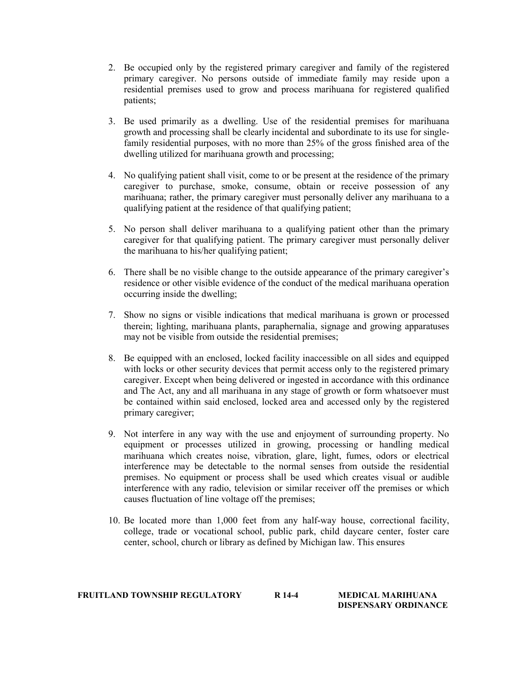- 2. Be occupied only by the registered primary caregiver and family of the registered primary caregiver. No persons outside of immediate family may reside upon a residential premises used to grow and process marihuana for registered qualified patients;
- 3. Be used primarily as a dwelling. Use of the residential premises for marihuana growth and processing shall be clearly incidental and subordinate to its use for singlefamily residential purposes, with no more than 25% of the gross finished area of the dwelling utilized for marihuana growth and processing;
- 4. No qualifying patient shall visit, come to or be present at the residence of the primary caregiver to purchase, smoke, consume, obtain or receive possession of any marihuana; rather, the primary caregiver must personally deliver any marihuana to a qualifying patient at the residence of that qualifying patient;
- 5. No person shall deliver marihuana to a qualifying patient other than the primary caregiver for that qualifying patient. The primary caregiver must personally deliver the marihuana to his/her qualifying patient;
- 6. There shall be no visible change to the outside appearance of the primary caregiver's residence or other visible evidence of the conduct of the medical marihuana operation occurring inside the dwelling;
- 7. Show no signs or visible indications that medical marihuana is grown or processed therein; lighting, marihuana plants, paraphernalia, signage and growing apparatuses may not be visible from outside the residential premises;
- 8. Be equipped with an enclosed, locked facility inaccessible on all sides and equipped with locks or other security devices that permit access only to the registered primary caregiver. Except when being delivered or ingested in accordance with this ordinance and The Act, any and all marihuana in any stage of growth or form whatsoever must be contained within said enclosed, locked area and accessed only by the registered primary caregiver;
- 9. Not interfere in any way with the use and enjoyment of surrounding property. No equipment or processes utilized in growing, processing or handling medical marihuana which creates noise, vibration, glare, light, fumes, odors or electrical interference may be detectable to the normal senses from outside the residential premises. No equipment or process shall be used which creates visual or audible interference with any radio, television or similar receiver off the premises or which causes fluctuation of line voltage off the premises;
- 10. Be located more than 1,000 feet from any half-way house, correctional facility, college, trade or vocational school, public park, child daycare center, foster care center, school, church or library as defined by Michigan law. This ensures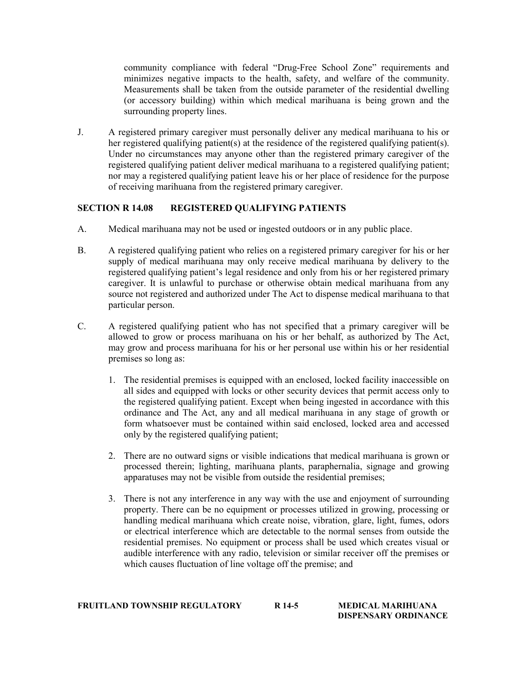community compliance with federal "Drug-Free School Zone" requirements and minimizes negative impacts to the health, safety, and welfare of the community. Measurements shall be taken from the outside parameter of the residential dwelling (or accessory building) within which medical marihuana is being grown and the surrounding property lines.

J. A registered primary caregiver must personally deliver any medical marihuana to his or her registered qualifying patient(s) at the residence of the registered qualifying patient(s). Under no circumstances may anyone other than the registered primary caregiver of the registered qualifying patient deliver medical marihuana to a registered qualifying patient; nor may a registered qualifying patient leave his or her place of residence for the purpose of receiving marihuana from the registered primary caregiver.

## SECTION R 14.08 REGISTERED QUALIFYING PATIENTS

- A. Medical marihuana may not be used or ingested outdoors or in any public place.
- B. A registered qualifying patient who relies on a registered primary caregiver for his or her supply of medical marihuana may only receive medical marihuana by delivery to the registered qualifying patient's legal residence and only from his or her registered primary caregiver. It is unlawful to purchase or otherwise obtain medical marihuana from any source not registered and authorized under The Act to dispense medical marihuana to that particular person.
- C. A registered qualifying patient who has not specified that a primary caregiver will be allowed to grow or process marihuana on his or her behalf, as authorized by The Act, may grow and process marihuana for his or her personal use within his or her residential premises so long as:
	- 1. The residential premises is equipped with an enclosed, locked facility inaccessible on all sides and equipped with locks or other security devices that permit access only to the registered qualifying patient. Except when being ingested in accordance with this ordinance and The Act, any and all medical marihuana in any stage of growth or form whatsoever must be contained within said enclosed, locked area and accessed only by the registered qualifying patient;
	- 2. There are no outward signs or visible indications that medical marihuana is grown or processed therein; lighting, marihuana plants, paraphernalia, signage and growing apparatuses may not be visible from outside the residential premises;
	- 3. There is not any interference in any way with the use and enjoyment of surrounding property. There can be no equipment or processes utilized in growing, processing or handling medical marihuana which create noise, vibration, glare, light, fumes, odors or electrical interference which are detectable to the normal senses from outside the residential premises. No equipment or process shall be used which creates visual or audible interference with any radio, television or similar receiver off the premises or which causes fluctuation of line voltage off the premise; and

#### FRUITLAND TOWNSHIP REGULATORY R 14-5 MEDICAL MARIHUANA DISPENSARY ORDINANCE